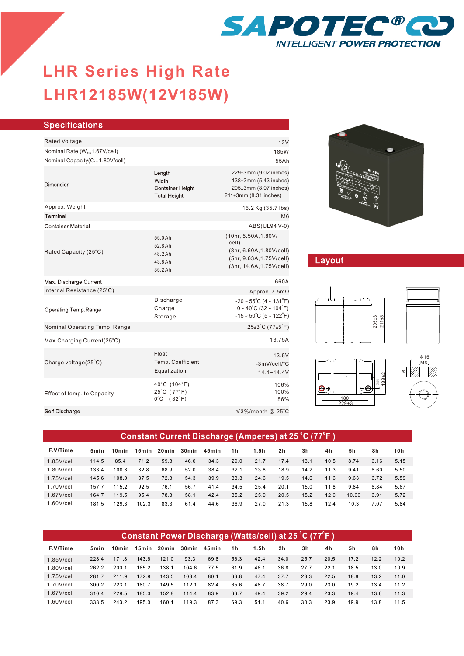

# **LHR12185W(12V185W) LHR Series-High Rate LHR Series High Rate**

| <b>Specifications</b>                         |                                                                   |                                                                                                                                                   |
|-----------------------------------------------|-------------------------------------------------------------------|---------------------------------------------------------------------------------------------------------------------------------------------------|
| Rated Voltage                                 |                                                                   | 12V                                                                                                                                               |
| Nominal Rate (W <sub>15</sub> , 1.67V/cell)   |                                                                   | 185W                                                                                                                                              |
| Nominal Capacity(C <sub>10</sub> ,1.80V/cell) |                                                                   | 55Ah                                                                                                                                              |
| Dimension                                     | Length<br>Width<br><b>Container Height</b><br><b>Total Height</b> | 229±3mm (9.02 inches)<br>138±2mm (5.43 inches)<br>205±3mm (8.07 inches)<br>$211\pm3$ mm (8.31 inches)                                             |
| Approx. Weight<br>Terminal                    |                                                                   | 16.2 Kg (35.7 lbs)<br>M <sub>6</sub>                                                                                                              |
| <b>Container Material</b>                     |                                                                   | ABS(UL94 V-0)                                                                                                                                     |
| Rated Capacity (25°C)                         | 55.0 Ah<br>52.8 Ah<br>48.2 Ah<br>43.8 Ah<br>35.2 Ah               | (10hr, 5.50A, 1.80V/<br>cell)<br>(8hr, 6.60A, 1.80V/cell)<br>(5hr, 9.63A, 1.75V/cell)<br>(3hr, 14.6A, 1.75V/cell)                                 |
| Max. Discharge Current                        |                                                                   | 660A                                                                                                                                              |
| Internal Resistance (25°C)                    |                                                                   | Approx. $7.5m\Omega$                                                                                                                              |
| Operating Temp.Range                          | Discharge<br>Charge<br>Storage                                    | $-20 \sim 55^{\circ}$ C (4 ~ 131 $^{\circ}$ F)<br>$0 \sim 40^{\circ}$ C (32 ~ 104 $^{\circ}$ F)<br>$-15 \sim 50^{\circ}$ C (5 ~ 122 $^{\circ}$ F) |
| Nominal Operating Temp. Range                 |                                                                   | $25\pm3$ °C (77 $\pm5$ °F)                                                                                                                        |
| Max.Charging Current(25°C)                    |                                                                   | 13.75A                                                                                                                                            |
| Charge voltage(25°C)                          | Float<br>Temp. Coefficient<br>Equalization                        | 13.5V<br>-3mV/cell/°C<br>$14.1 - 14.4V$                                                                                                           |
| Effect of temp. to Capacity                   | 40°C (104°F)<br>25°C (77°F)<br>$0^{\circ}$ C (32 $^{\circ}$ F)    | 106%<br>100%<br>86%                                                                                                                               |
| Self Discharge                                |                                                                   | $\leq$ 3%/month @ 25°C                                                                                                                            |
|                                               |                                                                   |                                                                                                                                                   |



## Layout









| Constant Current Discharge (Amperes) at 25 °C (77°F) |       |                   |       |        |             |      |                |      |      |      |      |       |      |      |
|------------------------------------------------------|-------|-------------------|-------|--------|-------------|------|----------------|------|------|------|------|-------|------|------|
| F.V/Time                                             | 5min  | 10 <sub>min</sub> | 15min | 20 min | 30min 45min |      | 1 <sub>h</sub> | 1.5h | 2h   | 3h   | 4h   | 5h    | 8h   | 10h  |
| $1.85$ V/cell                                        | 114.5 | 85.4              | 71.2  | 59.8   | 46.0        | 34.3 | 29.0           | 21.7 | 17.4 | 13.1 | 10.5 | 8.74  | 6.16 | 5.15 |
| $1.80$ V/cell                                        | 133.4 | 100.8             | 82.8  | 68.9   | 52.0        | 38.4 | 32.1           | 23.8 | 18.9 | 14.2 | 11.3 | 9.41  | 6.60 | 5.50 |
| $1.75$ V/cell                                        | 145.6 | 108.0             | 87.5  | 72.3   | 54.3        | 39.9 | 33.3           | 24.6 | 19.5 | 14.6 | 11.6 | 9.63  | 6.72 | 5.59 |
| $1.70$ V/cell                                        | 157.7 | 115.2             | 92.5  | 76.1   | 56.7        | 41.4 | 34.5           | 25.4 | 20.1 | 15.0 | 11.8 | 9.84  | 6.84 | 5.67 |
| $1.67$ V/cell                                        | 164.7 | 119.5             | 95.4  | 78.3   | 58.1        | 42.4 | 35.2           | 25.9 | 20.5 | 15.2 | 12.0 | 10.00 | 6.91 | 5.72 |
| $1.60$ V/cell                                        | 181.5 | 129.3             | 102.3 | 83.3   | 61.4        | 44.6 | 36.9           | 27.0 | 21.3 | 15.8 | 12.4 | 10.3  | 7.07 | 5.84 |

| Constant Power Discharge (Watts/cell) at 25 °C (77°F ) |       |                   |       |        |       |       |      |      |                |      |      |      |      |      |
|--------------------------------------------------------|-------|-------------------|-------|--------|-------|-------|------|------|----------------|------|------|------|------|------|
| F.V/Time                                               | 5min  | 10 <sub>min</sub> | 15min | 20 min | 30min | 45min | 1h   | 1.5h | 2 <sub>h</sub> | 3h   | 4h   | 5h   | 8h   | 10h  |
| $1.85$ V/cell                                          | 228.4 | 171.8             | 143.6 | 121.0  | 93.3  | 69.8  | 56.3 | 42.4 | 34.0           | 25.7 | 20.5 | 17.2 | 12.2 | 10.2 |
| $1.80$ V/cell                                          | 262.2 | 200.1             | 165.2 | 138.1  | 104.6 | 77.5  | 61.9 | 46.1 | 36.8           | 27.7 | 22.1 | 18.5 | 13.0 | 10.9 |
| $1.75$ V/cell                                          | 281.7 | 211.9             | 172.9 | 143.5  | 108.4 | 80.1  | 63.8 | 47.4 | 37.7           | 28.3 | 22.5 | 18.8 | 13.2 | 11.0 |
| $1.70$ V/cell                                          | 300.2 | 223.1             | 180.7 | 149.5  | 112.1 | 82.4  | 65.6 | 48.7 | 38.7           | 29.0 | 23.0 | 19.2 | 13.4 | 11.2 |
| $1.67$ V/cell                                          | 310.4 | 229.5             | 185.0 | 152.8  | 114.4 | 83.9  | 66.7 | 49.4 | 39.2           | 29.4 | 23.3 | 19.4 | 13.6 | 11.3 |
| $1.60$ V/cell                                          | 333.5 | 243.2             | 195.0 | 160.1  | 119.3 | 87.3  | 69.3 | 51.1 | 40.6           | 30.3 | 23.9 | 19.9 | 13.8 | 11.5 |